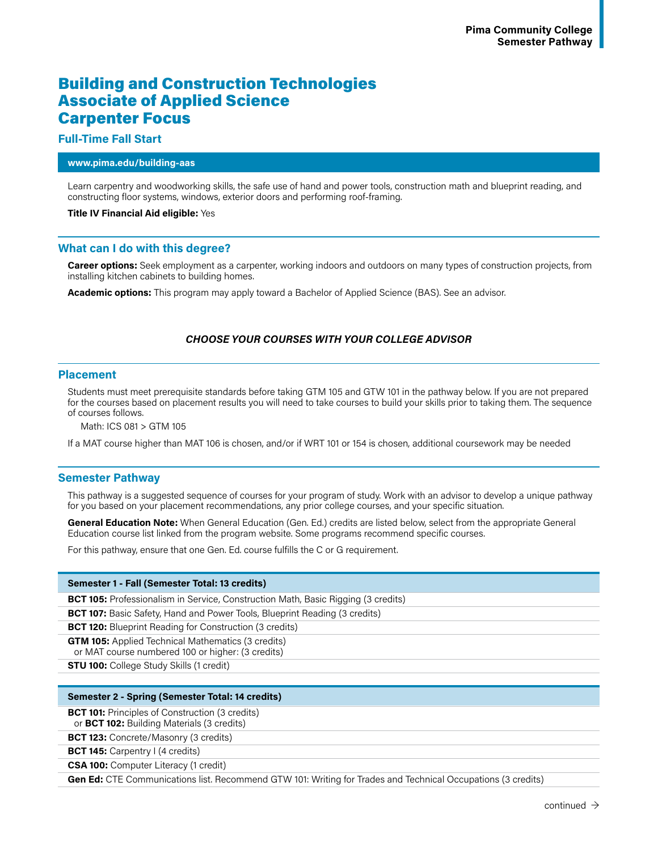# Building and Construction Technologies Associate of Applied Science Carpenter Focus

# **Full-Time Fall Start**

#### **www.pima.edu/building-aas**

Learn carpentry and woodworking skills, the safe use of hand and power tools, construction math and blueprint reading, and constructing floor systems, windows, exterior doors and performing roof-framing.

#### **Title IV Financial Aid eligible:** Yes

# **What can I do with this degree?**

**Career options:** Seek employment as a carpenter, working indoors and outdoors on many types of construction projects, from installing kitchen cabinets to building homes.

**Academic options:** This program may apply toward a Bachelor of Applied Science (BAS). See an advisor.

# *CHOOSE YOUR COURSES WITH YOUR COLLEGE ADVISOR*

#### **Placement**

Students must meet prerequisite standards before taking GTM 105 and GTW 101 in the pathway below. If you are not prepared for the courses based on placement results you will need to take courses to build your skills prior to taking them. The sequence of courses follows.

Math: ICS 081 > GTM 105

If a MAT course higher than MAT 106 is chosen, and/or if WRT 101 or 154 is chosen, additional coursework may be needed

# **Semester Pathway**

This pathway is a suggested sequence of courses for your program of study. Work with an advisor to develop a unique pathway for you based on your placement recommendations, any prior college courses, and your specific situation.

**General Education Note:** When General Education (Gen. Ed.) credits are listed below, select from the appropriate General Education course list linked from the program website. Some programs recommend specific courses.

For this pathway, ensure that one Gen. Ed. course fulfills the C or G requirement.

#### **Semester 1 - Fall (Semester Total: 13 credits)**

**BCT 105:** Professionalism in Service, Construction Math, Basic Rigging (3 credits)

**BCT 107:** Basic Safety, Hand and Power Tools, Blueprint Reading (3 credits)

**BCT 120:** Blueprint Reading for Construction (3 credits)

**GTM 105:** Applied Technical Mathematics (3 credits)

or MAT course numbered 100 or higher: (3 credits)

**STU 100:** College Study Skills (1 credit)

#### **Semester 2 - Spring (Semester Total: 14 credits)**

**BCT 101:** Principles of Construction (3 credits)

or **BCT 102:** Building Materials (3 credits)

**BCT 123:** Concrete/Masonry (3 credits)

**BCT 145:** Carpentry I (4 credits)

**CSA 100:** Computer Literacy (1 credit)

**Gen Ed:** CTE Communications list. Recommend GTW 101: Writing for Trades and Technical Occupations (3 credits)